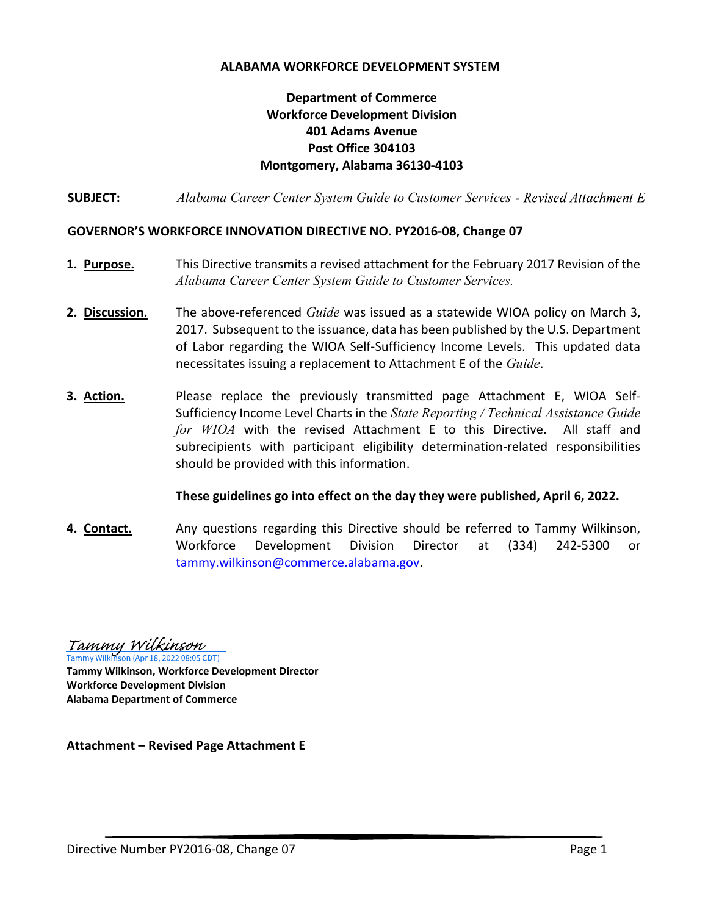### ALABAMA WORKFORCE DEVELOPMENT SYSTEM

### Department of Commerce Workforce Development Division 401 Adams Avenue Post Office 304103 Montgomery, Alabama 36130-4103

**SUBJECT:** Alabama Career Center System Guide to Customer Services - Revised Attachment E

### GOVERNOR'S WORKFORCE INNOVATION DIRECTIVE NO. PY2016-08, Change 07

- 1. Purpose. This Directive transmits a revised attachment for the February 2017 Revision of the Alabama Career Center System Guide to Customer Services.
- 2. Discussion. The above-referenced Guide was issued as a statewide WIOA policy on March 3, 2017. Subsequent to the issuance, data has been published by the U.S. Department of Labor regarding the WIOA Self-Sufficiency Income Levels. This updated data necessitates issuing a replacement to Attachment E of the Guide.
- **3. Action.** Please replace the previously transmitted page Attachment E, WIOA Self-Sufficiency Income Level Charts in the State Reporting / Technical Assistance Guide for WIOA with the revised Attachment E to this Directive. All staff and subrecipients with participant eligibility determination-related responsibilities should be provided with this information.

### These guidelines go into effect on the day they were published, April 6, 2022.

4. Contact. Any questions regarding this Directive should be referred to Tammy Wilkinson, Workforce Development Division Director at (334) 242-5300 or tammy.wilkinson@commerce.alabama.gov.

<u> Tammy Wilkinson</u> ammy Wilkinson (Apr 18, 2022 08:05 CDT)

Tammy Wilkinson, Workforce Development Director Workforce Development Division Alabama Department of Commerce

Attachment – Revised Page Attachment E